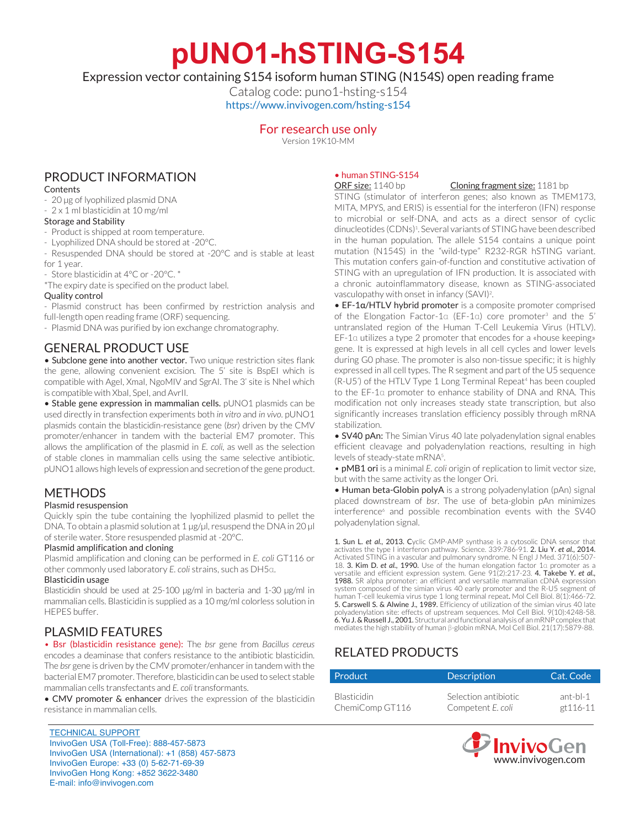**pUNO1-hSTING-S154**

Expression vector containing S154 isoform human STING (N154S) open reading frame

Catalog code: puno1-hsting-s154 https://www.invivogen.com/hsting-s154

### For research use only

Version 19K10-MM

## PRODUCT INFORMATION

#### **Contents**

- 20 µg of lyophilized plasmid DNA
- 2 x 1 ml blasticidin at 10 mg/ml

#### Storage and Stability

- Product is shipped at room temperature.
- Lyophilized DNA should be stored at -20°C.
- Resuspended DNA should be stored at -20°C and is stable at least for 1 year.

- Store blasticidin at 4°C or -20°C. \*

\*The expiry date is specified on the product label.

#### Quality control

- Plasmid construct has been confirmed by restriction analysis and full-length open reading frame (ORF) sequencing.

- Plasmid DNA was purified by ion exchange chromatography.

## GENERAL PRODUCT USE

• Subclone gene into another vector. Two unique restriction sites flank the gene, allowing convenient excision. The 5' site is BspEI which is compatible with AgeI, XmaI, NgoMIV and SgrAI. The 3' site is NheI which is compatible with XbaI, SpeI, and AvrII.

• Stable gene expression in mammalian cells. pUNO1 plasmids can be used directly in transfection experiments both *in vitro* and *in vivo*. pUNO1 plasmids contain the blasticidin-resistance gene (*bsr*) driven by the CMV promoter/enhancer in tandem with the bacterial EM7 promoter. This allows the amplification of the plasmid in *E. coli,* as well as the selection of stable clones in mammalian cells using the same selective antibiotic. pUNO1 allows high levels of expression and secretion of the gene product.

## METHODS

#### Plasmid resuspension

Quickly spin the tube containing the lyophilized plasmid to pellet the DNA. To obtain a plasmid solution at 1 µg/µl, resuspend the DNA in 20 µl of sterile water. Store resuspended plasmid at -20°C.

#### Plasmid amplification and cloning

Plasmid amplification and cloning can be performed in *E. coli* GT116 or other commonly used laboratory *E. coli* strains, such as DH5α.

#### Blasticidin usage

Blasticidin should be used at 25-100 µg/ml in bacteria and 1-30 µg/ml in mammalian cells. Blasticidin is supplied as a 10 mg/ml colorless solution in HEPES buffer.

## PLASMID FEATURES

• Bsr (blasticidin resistance gene): The *bsr* gene from *Bacillus cereus* encodes a deaminase that confers resistance to the antibiotic blasticidin. The *bsr* gene is driven by the CMV promoter/enhancer in tandem with the bacterial EM7 promoter. Therefore, blasticidin can be used to select stable mammalian cells transfectants and *E. coli* transformants.

• CMV promoter & enhancer drives the expression of the blasticidin resistance in mammalian cells.

#### TECHNICAL SUPPORT InvivoGen USA (Toll‑Free): 888-457-5873 InvivoGen USA (International): +1 (858) 457-5873 InvivoGen Europe: +33 (0) 5-62-71-69-39 InvivoGen Hong Kong: +852 3622-3480 E-mail: info@invivogen.com

# • human STING-S154<br>ORF size: 1140 bp

#### Cloning fragment size: 1181 bp

STING (stimulator of interferon genes; also known as TMEM173, MITA, MPYS, and ERIS) is essential for the interferon (IFN) response to microbial or self-DNA, and acts as a direct sensor of cyclic dinucleotides (CDNs)<sup>1</sup>. Several variants of STING have been described in the human population. The allele S154 contains a unique point mutation (N154S) in the "wild-type" R232-RGR hSTING variant. This mutation confers gain-of-function and constitutive activation of STING with an upregulation of IFN production. It is associated with a chronic autoinflammatory disease, known as STING-associated vasculopathy with onset in infancy (SAVI)2 .

• EF-1a/HTLV hybrid promoter is a composite promoter comprised of the Elongation Factor-1α (EF-1α) core promoter<sup>3</sup> and the 5' untranslated region of the Human T-Cell Leukemia Virus (HTLV). EF-1α utilizes a type 2 promoter that encodes for a «house keeping» gene. It is expressed at high levels in all cell cycles and lower levels during G0 phase. The promoter is also non-tissue specific; it is highly expressed in all cell types. The R segment and part of the U5 sequence (R-U5') of the HTLV Type 1 Long Terminal Repeat<sup>4</sup> has been coupled to the EF-1α promoter to enhance stability of DNA and RNA. This modification not only increases steady state transcription, but also significantly increases translation efficiency possibly through mRNA stabilization.

• **SV40 pAn:** The Simian Virus 40 late polyadenylation signal enables efficient cleavage and polyadenylation reactions, resulting in high levels of steady-state mRNA<sup>5</sup>.

• pMB1 ori is a minimal *E. coli* origin of replication to limit vector size, but with the same activity as the longer Ori.

• Human beta-Globin polyA is a strong polyadenylation (pAn) signal placed downstream of *bsr*. The use of beta-globin pAn minimizes interference<sup>6</sup> and possible recombination events with the SV40 polyadenylation signal.

**1. Sun L. et al., 2013. C**yclic GMP-AMP synthase is a cytosolic DNA sensor that<br>activates the type I interferon pathway. Science. 339:786-91. **2. Liu Y. et al., 2014.**<br>Activated STING in a vascular and pulmonary syndrome. 18. 3. Kim D. *et al.,* 1990. Use of the human elongation factor 1α promoter as a satile and efficient expression system. Gene 91(2):217-23. 4. Takebe Y. et al., 1988. SR alpha promoter: an efficient and versatile mammalian cDNA expression system composed of the simian virus 40 early promoter and the R-U5 segment of human T-cell leukemia virus type 1 long terminal repeat. Mol Cell Biol. 8(1):466-72. 5. Carswell S. & Alwine J., 1989. Efficiency of utilization of the simian virus 40 late polyadenylation site: effects of upstream sequences. Mol Cell Biol. 9(10):4248-58. 6. Yu J. & Russell J., 2001. Structural and functional analysis of an mRNP complex that mediates the high stability of human β-globin mRNA. Mol Cell Biol. 21(17):5879-88.

## RELATED PRODUCTS

| Product            | <b>Description</b>   | Cat. Code |
|--------------------|----------------------|-----------|
| <b>Blasticidin</b> | Selection antibiotic | ant-bl-1  |
| ChemiComp GT116    | Competent E. coli    | et 116-11 |

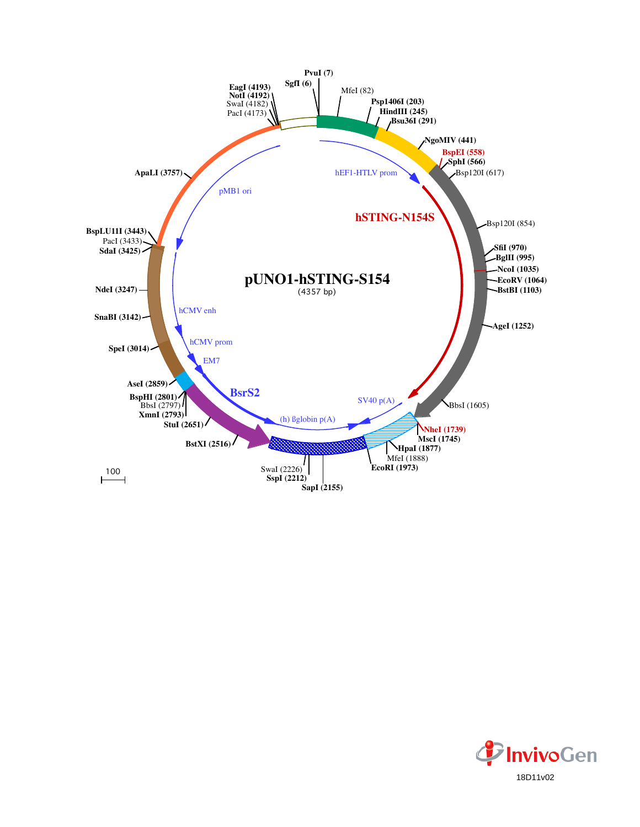

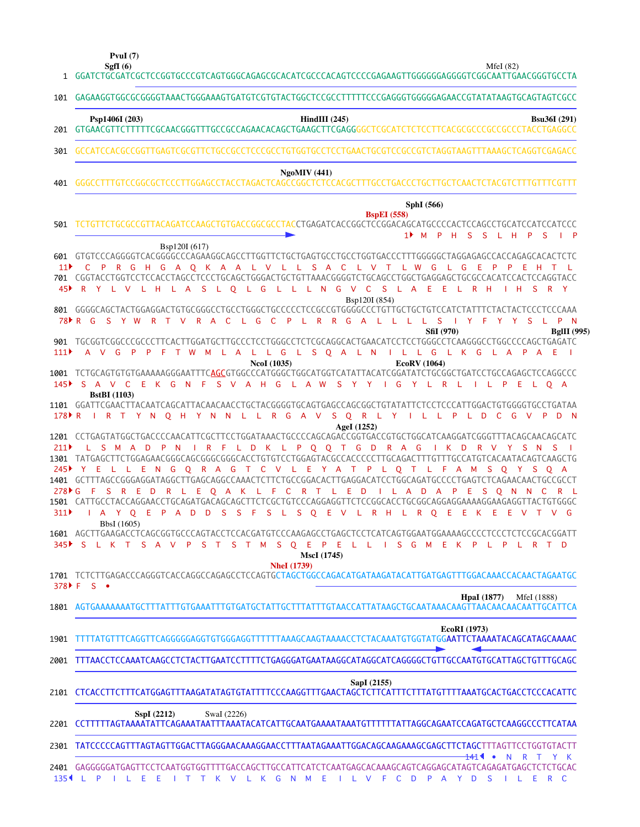**SgfI (6) PvuI (7)**

1

MfeI (82)

| 101                                              | GAGAAGGTGGCGCGGGGTAAACTGGGAAAGTGATGTCGTGTACTGGCTCCGCCTTTTTTCCCGAGGGTGGGGAGAACCGTATATAAGTGCAGTAGTCGCC                                                                                                                                                                                                                                                                                                                                                                                                                                                                                                                                            |
|--------------------------------------------------|-------------------------------------------------------------------------------------------------------------------------------------------------------------------------------------------------------------------------------------------------------------------------------------------------------------------------------------------------------------------------------------------------------------------------------------------------------------------------------------------------------------------------------------------------------------------------------------------------------------------------------------------------|
|                                                  | Psp1406I (203)<br>$HindIII$ (245)<br><b>Bsu36I</b> (291)                                                                                                                                                                                                                                                                                                                                                                                                                                                                                                                                                                                        |
| 301                                              | GCCATCCACGCCGGTTGAGTCGCGTTCTGCCGCCTCCCGCCTGTGGTGCCTCCTGAACTGCGTCCGCCGTCTAGGTAAGTTTAAAGCTCAGGTCGAGACC                                                                                                                                                                                                                                                                                                                                                                                                                                                                                                                                            |
| 401                                              | NgoMIV(441)                                                                                                                                                                                                                                                                                                                                                                                                                                                                                                                                                                                                                                     |
| 501                                              | SphI (566)<br><b>BspEI</b> (558)<br>11<br>M<br>- P<br>H.<br>-S<br>- S<br>L H<br>$\mathsf{P}$<br><sub>S</sub>                                                                                                                                                                                                                                                                                                                                                                                                                                                                                                                                    |
| 601<br>11 <sup>2</sup><br>45▶<br>78 <del>R</del> | Bsp120I (617)<br>GTGTCCCAGGGGTCACGGGGCCCCAGAAGGCAGCCTTGGTTCTGCTGAGTGCCTGGTGACCCTTTGGGGGCTAGGAGAGCCACCACAGAGCACACTCTC<br>P R G H G A Q K A A L V L L S A C L V T<br>L W<br>G<br>Ε<br>Æ<br>C.<br>- 11<br>G<br>$\mathsf{P}$<br>701  CGGTACCTGGTCCTCCACCTAGCCTCCCTGCAGCTGGGACTGCTGTTAAACGGGGTCTGCAGCCTGGCTGAGGAGCTGCGCCACATCCACTCCAGGTACC<br>R Y L V L H L A S L O L G L L L N G V C S L A E E L R H<br>H<br>$\mathsf{S}$<br>R Y<br>Bsp120I (854)<br>G<br>S Y W<br>R T V<br>R A<br>C L G<br>- C<br>$\mathsf{P}$<br>L R R G<br>A L L L<br>L S<br>IY F<br>P<br>$\overline{N}$<br>YY.<br>S.<br>L.                                                      |
| 111                                              | SfiI (970)<br><b>BgIII</b> (995)<br>901 TGCGGTCGGCCCGCCCTTCACTTGGATGCTTGCCCTCCTGGGCCTCTCGCAGGCACTGAACATCCTCCTGGGCCTCAAGGGCCTGGCCCCAGCTGAGATC<br>L L G L S O A L N<br>A V G<br>P<br>L A<br>I L L G L K G L A P A E<br>P<br>F<br>T W<br>M<br><b>Contract</b><br><b>NcoI</b> (1035)<br>EcoRV (1064)                                                                                                                                                                                                                                                                                                                                                |
| 145                                              | 1001 TCTGCAGTGTGTGAAAAAGGGAATTTC <mark>AGC</mark> GTGGCCCATGGGCTGGCATGGTCATATTACATCGGATATCTGCGGCTGATCCTGCCAGAGCTCCAGGCCC<br>EKGNFSVAHGLAWS<br>S A V C<br>G<br>Y<br>R<br>Y Y<br>L.<br>L<br>-L.<br>$\mathsf{P}$<br>E.<br>LO A<br>т.<br>$\blacksquare$<br><b>BstBI</b> (1103)                                                                                                                                                                                                                                                                                                                                                                      |
| 178 F R                                          | 1101 GGATTCGAACTTACAATCAGCATTACAACAACCTGCTACGGGGTGCAGTGAGCCAGCGGCTGTATATTCTCCTCCCATTGGACTGTGGGGTGCCTGATAA<br>R G A V S Q R L Y I L L P<br>L D<br>$\overline{C}$<br>G V<br>P<br>D.<br>$\blacksquare$<br>TYN OHYN N L L<br>- N<br>AgeI (1252)<br>1201 CCTGAGTATGGCTGACCCCAACATTCGCTTCCTGGATAAACTGCCCCAGCAGACCGGTGACCGTGCTGGCATCAAGGATCGGGTTTACAGCAACAGCATC                                                                                                                                                                                                                                                                                        |
| 211<br>245<br>$278 \text{ F}$ G<br>311           | R A G<br>$\mathsf{P}$<br>N<br>I R F L D K L P Q Q T G D<br>I K D<br>R V Y<br>L.<br>S M A D<br>S N<br>- S<br>Q R A G T C V L E Y A T P L Q T L F A M<br>Y.<br>E.<br>E.<br>NG<br>- S<br>OYSOA<br>1401 GCTTTAGCCGGGAGGATAGGCTTGAGCAGGCCAAACTCTTCTGCCGGACACTTGAGGACATCCTGGCAGATGCCCCTGAGTCTCAGAACAACTGCCGCCT<br>E Q A K L F<br>$\mathbf{C}$<br>R T L E D<br>ILADAP<br>- E<br>-F<br>S<br>R<br>- E<br>- D<br>R<br><b>S</b><br>$\overline{Q}$<br>N<br>C<br>- L -<br>1501 CATTGCCTACCAGGAACCTGCAGATGACAGCAGCTTCTCGCTGTCCCAGGAGGTTCTCCGGCACCTGCGGCAGGAGGAAAAGGAAGAGGTTACTGTGGGC<br>S S F S L S Q E V L R H L R Q E E K E E V T V G<br>Y Q E P A D D<br>A |
|                                                  | BbsI (1605)<br>S T S T M S Q E P E L L I S G M E K P L P<br>345 S L K T S A<br>$\mathsf{P}$<br>L R T D<br>$\vee$                                                                                                                                                                                                                                                                                                                                                                                                                                                                                                                                |
| 378 F F                                          | <b>MscI</b> (1745)<br><b>NheI</b> (1739)<br>1701 TCTCTTGAGACCCAGGGTCACCAGGCCAGAGCCTCCAGTGCTAGCTGGCCAGACATGATAAGATACATTGATGAGTTTGGACAAACCACAACTAGAATGC<br>$S \bullet$                                                                                                                                                                                                                                                                                                                                                                                                                                                                            |
|                                                  | <b>HpaI</b> (1877)<br>MfeI (1888)<br>1801 AGTGAAAAAAATGCTTTATTTGTGAAATTTGTGATGCTATTGCTTTATTTGTAACCATTATAAGCTGCAATAAACAAGTTAACAACAACAATTGCATTCA                                                                                                                                                                                                                                                                                                                                                                                                                                                                                                  |
| 1901                                             | <b>EcoRI</b> (1973)<br>TTTTATGTTTCAGGTTCAGGGGGGAGGTGTGGGAGGTTTTTTAAAGCAAGTAAAACCTCTACAAATGTGGTATGG <b>AATTCTAAAATACAGCATAGCAAAAC</b>                                                                                                                                                                                                                                                                                                                                                                                                                                                                                                            |
|                                                  | 2001 TTTAACCTCCAAATCAAGCCTCTACTTGAATCCTTTTCTGAGGGATGAATAAGGCATAGGCATCAGGGGCTGTTGCCAATGTGCATTAGCTGTTTGCAGC                                                                                                                                                                                                                                                                                                                                                                                                                                                                                                                                       |
|                                                  | SapI (2155)<br>2101 CTCACCTTCTTTCATGGAGTTTAAGATATAGTGTATTTTCCCAAGGTTTGAACTAGCTCTTCATTTCTTTATGTTTTAAATGCACTGACCTCCCACATTC                                                                                                                                                                                                                                                                                                                                                                                                                                                                                                                        |
|                                                  | SspI(2212)<br>SwaI (2226)                                                                                                                                                                                                                                                                                                                                                                                                                                                                                                                                                                                                                       |
| 2301                                             | TATCCCCCAGTTTAGTAGTAGTAGTAGGAACAAAGGAACCTTTAATAGAAATTGGACAGGAAAGCGAGCTTCTAGCTTTAGTTCCTGGTGTACTT                                                                                                                                                                                                                                                                                                                                                                                                                                                                                                                                                 |
|                                                  | 1414<br>$\bullet$<br>N<br>R<br>$\top$<br>Y K<br>2401 GAGGGGGATGAGTTCCTCAATGGTGGTTTTGACCAGCTTGCCATTCATCTCAATGAGCACAAAGCAGTCAGGAGCATAGTCAGAGATGAGCTCTCTGCAC<br>$135$ <sup>4</sup> L P<br>I T T K V L K G N M E<br>ILEE<br>I L V F C D P A Y D S I L E R C                                                                                                                                                                                                                                                                                                                                                                                         |

GGATCTGCGATCGCTCCGGTGCCCGTCAGTGGGCAGAGCGCACATCGCCCACAGTCCCCGAGAAGTTGGGGGGAGGGGTCGGCAATTGAACGGGTGCCTA